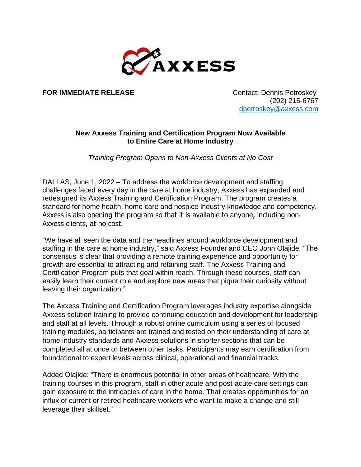

**FOR IMMEDIATE RELEASE** Contact: Dennis Petroskey

 (202) 215-6767 [dpetroskey@axxess.com](mailto:dpetroskey@axxess.com)

## **New Axxess Training and Certification Program Now Available to Entire Care at Home Industry**

*Training Program Opens to Non-Axxess Clients at No Cost*

DALLAS, June 1, 2022 – To address the workforce development and staffing challenges faced every day in the care at home industry, Axxess has expanded and redesigned its Axxess Training and Certification Program. The program creates a standard for home health, home care and hospice industry knowledge and competency. Axxess is also opening the program so that it is available to anyone, including non-Axxess clients, at no cost.

"We have all seen the data and the headlines around workforce development and staffing in the care at home industry," said Axxess Founder and CEO John Olajide. "The consensus is clear that providing a remote training experience and opportunity for growth are essential to attracting and retaining staff. The Axxess Training and Certification Program puts that goal within reach. Through these courses, staff can easily learn their current role and explore new areas that pique their curiosity without leaving their organization."

The Axxess Training and Certification Program leverages industry expertise alongside Axxess solution training to provide continuing education and development for leadership and staff at all levels. Through a robust online curriculum using a series of focused training modules, participants are trained and tested on their understanding of care at home industry standards and Axxess solutions in shorter sections that can be completed all at once or between other tasks. Participants may earn certification from foundational to expert levels across clinical, operational and financial tracks.

Added Olajide: "There is enormous potential in other areas of healthcare. With the training courses in this program, staff in other acute and post-acute care settings can gain exposure to the intricacies of care in the home. That creates opportunities for an influx of current or retired healthcare workers who want to make a change and still leverage their skillset."